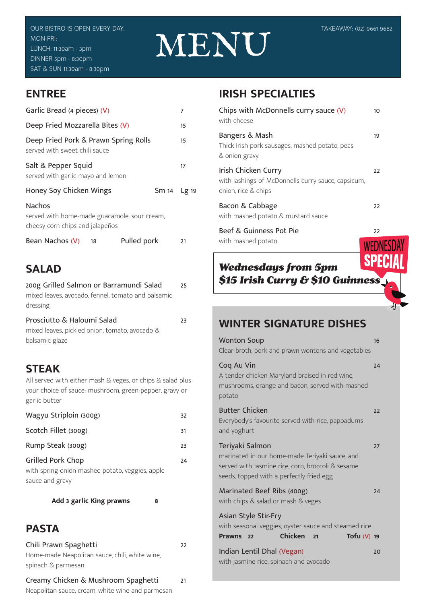# MENU

#### **ENTREE**

| Garlic Bread (4 pieces) (V)                                                               |    |             |             | 7  |
|-------------------------------------------------------------------------------------------|----|-------------|-------------|----|
| Deep Fried Mozzarella Bites (V)                                                           |    |             |             | 15 |
| Deep Fried Pork & Prawn Spring Rolls<br>served with sweet chili sauce                     |    |             |             | 15 |
| Salt & Pepper Squid<br>served with garlic mayo and lemon                                  |    |             |             | 17 |
| Honey Soy Chicken Wings                                                                   |    |             | Sm 14 Lg 19 |    |
| Nachos<br>served with home-made guacamole, sour cream,<br>cheesy corn chips and jalapeños |    |             |             |    |
| Bean Nachos (V)                                                                           | 18 | Pulled pork |             | 21 |

#### **SALAD**

| 200g Grilled Salmon or Barramundi Salad<br>mixed leaves, avocado, fennel, tomato and balsamic<br>dressing                                             | 25 |
|-------------------------------------------------------------------------------------------------------------------------------------------------------|----|
| Prosciutto & Haloumi Salad<br>mixed leaves, pickled onion, tomato, avocado &<br>balsamic glaze                                                        | 23 |
| <b>STEAK</b><br>All served with either mash & veges, or chips & salad plus<br>your choice of sauce: mushroom, green-pepper, gravy or<br>garlic butter |    |
| Wagyu Striploin (300g)                                                                                                                                | 32 |
| Scotch Fillet (300g)                                                                                                                                  | 31 |
| Rump Steak (300g)                                                                                                                                     | 23 |
| Grilled Pork Chop                                                                                                                                     | 24 |

with spring onion mashed potato, veggies, apple sauce and gravy

**Add 3 garlic King prawns 8**

#### **PASTA**

| Chili Prawn Spaghetti                          | 22 |
|------------------------------------------------|----|
| Home-made Neapolitan sauce, chili, white wine, |    |
| spinach & parmesan                             |    |
| Creamy Chicken & Mushroom Spaghetti            | 21 |

Neapolitan sauce, cream, white wine and parmesan

#### **IRISH SPECIALTIES**

| Chips with McDonnells curry sauce (V)<br>with cheese                                             | 10           |
|--------------------------------------------------------------------------------------------------|--------------|
| Bangers & Mash<br>Thick Irish pork sausages, mashed potato, peas<br>& onion gravy                | 19           |
| Irish Chicken Curry<br>with lashings of McDonnells curry sauce, capsicum,<br>onion, rice & chips | 22           |
| Bacon & Cabbage<br>with mashed potato & mustard sauce                                            | 22           |
| Beef & Guinness Pot Pie<br>with mashed potato                                                    | 22           |
|                                                                                                  | <b>WEDNE</b> |

#### *Wednesdays from 5pm \$15 Irish Curry & \$10 Guinness*

#### **WINTER SIGNATURE DISHES**

| <b>Wonton Soup</b><br>Clear broth, pork and prawn wontons and vegetables                                                                                           | 16 |
|--------------------------------------------------------------------------------------------------------------------------------------------------------------------|----|
| Coq Au Vin<br>A tender chicken Maryland braised in red wine,<br>mushrooms, orange and bacon, served with mashed<br>potato                                          | 24 |
| <b>Butter Chicken</b><br>Everybody's favourite served with rice, pappadums<br>and yoghurt                                                                          | 22 |
| Teriyaki Salmon<br>marinated in our home-made Teriyaki sauce, and<br>served with Jasmine rice, corn, broccoli & sesame<br>seeds, topped with a perfectly fried egg | 27 |
| Marinated Beef Ribs (400g)<br>with chips & salad or mash & veges                                                                                                   | 24 |
| Asian Style Stir-Fry<br>with seasonal veggies, oyster sauce and steamed rice<br>Chicken<br>Tofu $(V)$ 19<br><b>Prawns</b><br>22<br>21                              |    |
| Indian Lentil Dhal (Vegan)<br>with jasmine rice, spinach and avocado                                                                                               | 20 |